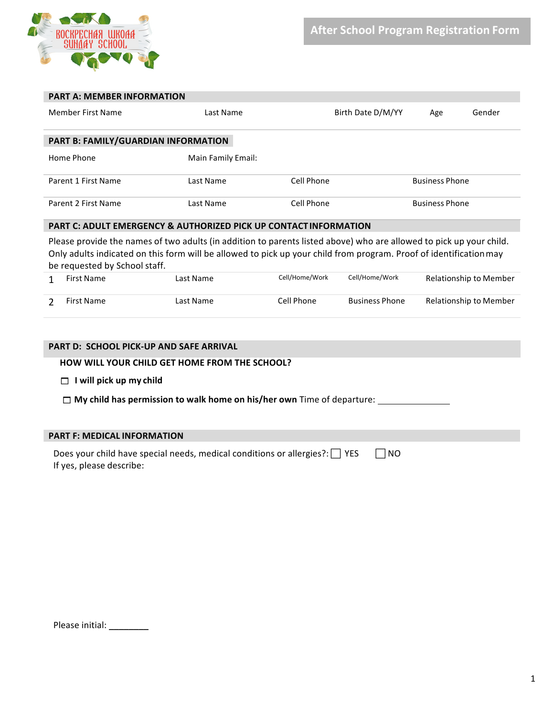

| <b>PART A: MEMBER INFORMATION</b>                                                                                   |                    |                   |     |                       |  |  |  |
|---------------------------------------------------------------------------------------------------------------------|--------------------|-------------------|-----|-----------------------|--|--|--|
| <b>Member First Name</b>                                                                                            | Last Name          | Birth Date D/M/YY | Age | Gender                |  |  |  |
| PART B: FAMILY/GUARDIAN INFORMATION                                                                                 |                    |                   |     |                       |  |  |  |
| Home Phone                                                                                                          | Main Family Email: |                   |     |                       |  |  |  |
| Parent 1 First Name                                                                                                 | Last Name          | Cell Phone        |     | <b>Business Phone</b> |  |  |  |
| Parent 2 First Name                                                                                                 | Last Name          | Cell Phone        |     | <b>Business Phone</b> |  |  |  |
| <b>PART C: ADULT EMERGENCY &amp; AUTHORIZED PICK UP CONTACT INFORMATION</b>                                         |                    |                   |     |                       |  |  |  |
| Please provide the names of two adults (in addition to parents listed above) who are allowed to pick up your child. |                    |                   |     |                       |  |  |  |

lease provide the names of two adults (in addition to parents listed above) who are allowed to pick up your child Only adults indicated on this form will be allowed to pick up your child from program. Proof of identification may be requested by School staff.

| First Name | Last Name | Cell/Home/Work | Cell/Home/Work        | Relationship to Member |
|------------|-----------|----------------|-----------------------|------------------------|
| First Name | Last Name | Cell Phone     | <b>Business Phone</b> | Relationship to Member |

| <b>PART D: SCHOOL PICK-UP AND SAFE ARRIVAL</b>                                                               |            |
|--------------------------------------------------------------------------------------------------------------|------------|
| <b>HOW WILL YOUR CHILD GET HOME FROM THE SCHOOL?</b>                                                         |            |
| I will pick up my child<br>⊓.                                                                                |            |
| $\Box$ My child has permission to walk home on his/her own Time of departure:                                |            |
| <b>PART F: MEDICAL INFORMATION</b>                                                                           |            |
| Does your child have special needs, medical conditions or allergies?: $\Box$ YES<br>If yes, please describe: | <b>INO</b> |

| Please initial: |  |  |
|-----------------|--|--|
|                 |  |  |